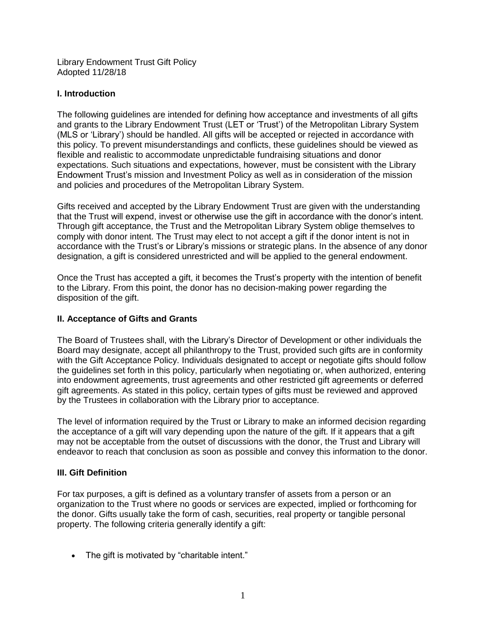Library Endowment Trust Gift Policy Adopted 11/28/18

## **I. Introduction**

The following guidelines are intended for defining how acceptance and investments of all gifts and grants to the Library Endowment Trust (LET or 'Trust') of the Metropolitan Library System (MLS or 'Library') should be handled. All gifts will be accepted or rejected in accordance with this policy. To prevent misunderstandings and conflicts, these guidelines should be viewed as flexible and realistic to accommodate unpredictable fundraising situations and donor expectations. Such situations and expectations, however, must be consistent with the Library Endowment Trust's mission and Investment Policy as well as in consideration of the mission and policies and procedures of the Metropolitan Library System.

Gifts received and accepted by the Library Endowment Trust are given with the understanding that the Trust will expend, invest or otherwise use the gift in accordance with the donor's intent. Through gift acceptance, the Trust and the Metropolitan Library System oblige themselves to comply with donor intent. The Trust may elect to not accept a gift if the donor intent is not in accordance with the Trust's or Library's missions or strategic plans. In the absence of any donor designation, a gift is considered unrestricted and will be applied to the general endowment.

Once the Trust has accepted a gift, it becomes the Trust's property with the intention of benefit to the Library. From this point, the donor has no decision-making power regarding the disposition of the gift.

## **II. Acceptance of Gifts and Grants**

The Board of Trustees shall, with the Library's Director of Development or other individuals the Board may designate, accept all philanthropy to the Trust, provided such gifts are in conformity with the Gift Acceptance Policy. Individuals designated to accept or negotiate gifts should follow the guidelines set forth in this policy, particularly when negotiating or, when authorized, entering into endowment agreements, trust agreements and other restricted gift agreements or deferred gift agreements. As stated in this policy, certain types of gifts must be reviewed and approved by the Trustees in collaboration with the Library prior to acceptance.

The level of information required by the Trust or Library to make an informed decision regarding the acceptance of a gift will vary depending upon the nature of the gift. If it appears that a gift may not be acceptable from the outset of discussions with the donor, the Trust and Library will endeavor to reach that conclusion as soon as possible and convey this information to the donor.

# **III. Gift Definition**

For tax purposes, a gift is defined as a voluntary transfer of assets from a person or an organization to the Trust where no goods or services are expected, implied or forthcoming for the donor. Gifts usually take the form of cash, securities, real property or tangible personal property. The following criteria generally identify a gift:

• The gift is motivated by "charitable intent."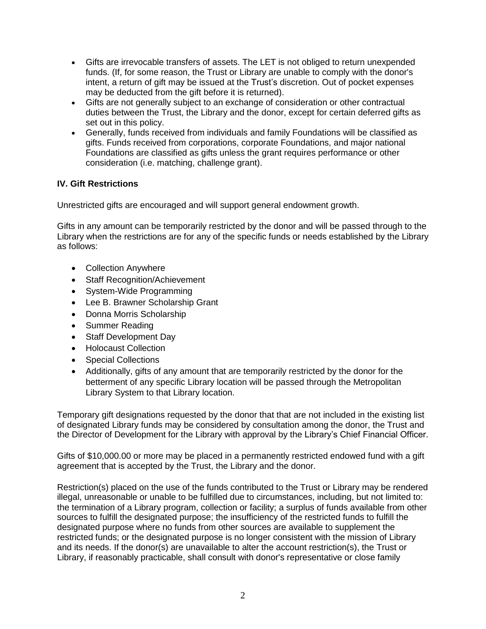- Gifts are irrevocable transfers of assets. The LET is not obliged to return unexpended funds. (If, for some reason, the Trust or Library are unable to comply with the donor's intent, a return of gift may be issued at the Trust's discretion. Out of pocket expenses may be deducted from the gift before it is returned).
- Gifts are not generally subject to an exchange of consideration or other contractual duties between the Trust, the Library and the donor, except for certain deferred gifts as set out in this policy.
- Generally, funds received from individuals and family Foundations will be classified as gifts. Funds received from corporations, corporate Foundations, and major national Foundations are classified as gifts unless the grant requires performance or other consideration (i.e. matching, challenge grant).

# **IV. Gift Restrictions**

Unrestricted gifts are encouraged and will support general endowment growth.

Gifts in any amount can be temporarily restricted by the donor and will be passed through to the Library when the restrictions are for any of the specific funds or needs established by the Library as follows:

- Collection Anywhere
- Staff Recognition/Achievement
- System-Wide Programming
- Lee B. Brawner Scholarship Grant
- Donna Morris Scholarship
- Summer Reading
- Staff Development Day
- Holocaust Collection
- Special Collections
- Additionally, gifts of any amount that are temporarily restricted by the donor for the betterment of any specific Library location will be passed through the Metropolitan Library System to that Library location.

Temporary gift designations requested by the donor that that are not included in the existing list of designated Library funds may be considered by consultation among the donor, the Trust and the Director of Development for the Library with approval by the Library's Chief Financial Officer.

Gifts of \$10,000.00 or more may be placed in a permanently restricted endowed fund with a gift agreement that is accepted by the Trust, the Library and the donor.

Restriction(s) placed on the use of the funds contributed to the Trust or Library may be rendered illegal, unreasonable or unable to be fulfilled due to circumstances, including, but not limited to: the termination of a Library program, collection or facility; a surplus of funds available from other sources to fulfill the designated purpose; the insufficiency of the restricted funds to fulfill the designated purpose where no funds from other sources are available to supplement the restricted funds; or the designated purpose is no longer consistent with the mission of Library and its needs. If the donor(s) are unavailable to alter the account restriction(s), the Trust or Library, if reasonably practicable, shall consult with donor's representative or close family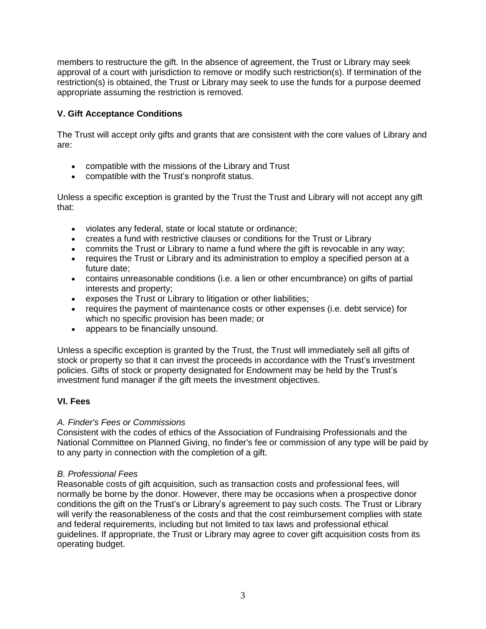members to restructure the gift. In the absence of agreement, the Trust or Library may seek approval of a court with jurisdiction to remove or modify such restriction(s). If termination of the restriction(s) is obtained, the Trust or Library may seek to use the funds for a purpose deemed appropriate assuming the restriction is removed.

# **V. Gift Acceptance Conditions**

The Trust will accept only gifts and grants that are consistent with the core values of Library and are:

- compatible with the missions of the Library and Trust
- compatible with the Trust's nonprofit status.

Unless a specific exception is granted by the Trust the Trust and Library will not accept any gift that:

- violates any federal, state or local statute or ordinance;
- creates a fund with restrictive clauses or conditions for the Trust or Library
- commits the Trust or Library to name a fund where the gift is revocable in any way;
- requires the Trust or Library and its administration to employ a specified person at a future date;
- contains unreasonable conditions (i.e. a lien or other encumbrance) on gifts of partial interests and property;
- exposes the Trust or Library to litigation or other liabilities;
- requires the payment of maintenance costs or other expenses (i.e. debt service) for which no specific provision has been made; or
- appears to be financially unsound.

Unless a specific exception is granted by the Trust, the Trust will immediately sell all gifts of stock or property so that it can invest the proceeds in accordance with the Trust's investment policies. Gifts of stock or property designated for Endowment may be held by the Trust's investment fund manager if the gift meets the investment objectives.

# **VI. Fees**

## *A. Finder's Fees or Commissions*

Consistent with the codes of ethics of the Association of Fundraising Professionals and the National Committee on Planned Giving, no finder's fee or commission of any type will be paid by to any party in connection with the completion of a gift.

## *B. Professional Fees*

Reasonable costs of gift acquisition, such as transaction costs and professional fees, will normally be borne by the donor. However, there may be occasions when a prospective donor conditions the gift on the Trust's or Library's agreement to pay such costs. The Trust or Library will verify the reasonableness of the costs and that the cost reimbursement complies with state and federal requirements, including but not limited to tax laws and professional ethical guidelines. If appropriate, the Trust or Library may agree to cover gift acquisition costs from its operating budget.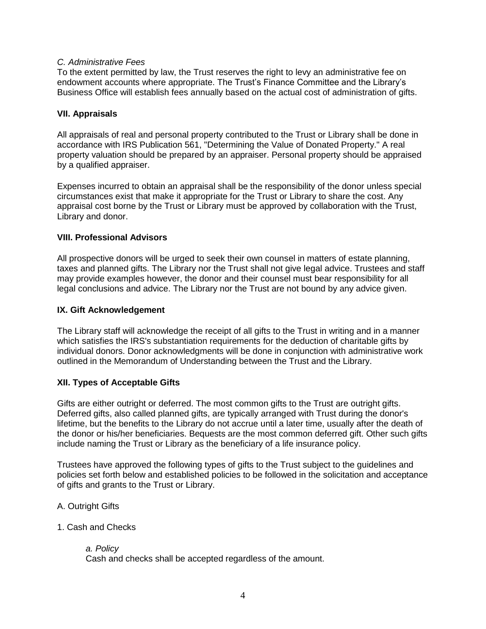### *C. Administrative Fees*

To the extent permitted by law, the Trust reserves the right to levy an administrative fee on endowment accounts where appropriate. The Trust's Finance Committee and the Library's Business Office will establish fees annually based on the actual cost of administration of gifts.

### **VII. Appraisals**

All appraisals of real and personal property contributed to the Trust or Library shall be done in accordance with IRS Publication 561, "Determining the Value of Donated Property." A real property valuation should be prepared by an appraiser. Personal property should be appraised by a qualified appraiser.

Expenses incurred to obtain an appraisal shall be the responsibility of the donor unless special circumstances exist that make it appropriate for the Trust or Library to share the cost. Any appraisal cost borne by the Trust or Library must be approved by collaboration with the Trust, Library and donor.

### **VIII. Professional Advisors**

All prospective donors will be urged to seek their own counsel in matters of estate planning, taxes and planned gifts. The Library nor the Trust shall not give legal advice. Trustees and staff may provide examples however, the donor and their counsel must bear responsibility for all legal conclusions and advice. The Library nor the Trust are not bound by any advice given.

### **IX. Gift Acknowledgement**

The Library staff will acknowledge the receipt of all gifts to the Trust in writing and in a manner which satisfies the IRS's substantiation requirements for the deduction of charitable gifts by individual donors. Donor acknowledgments will be done in conjunction with administrative work outlined in the Memorandum of Understanding between the Trust and the Library.

## **XII. Types of Acceptable Gifts**

Gifts are either outright or deferred. The most common gifts to the Trust are outright gifts. Deferred gifts, also called planned gifts, are typically arranged with Trust during the donor's lifetime, but the benefits to the Library do not accrue until a later time, usually after the death of the donor or his/her beneficiaries. Bequests are the most common deferred gift. Other such gifts include naming the Trust or Library as the beneficiary of a life insurance policy.

Trustees have approved the following types of gifts to the Trust subject to the guidelines and policies set forth below and established policies to be followed in the solicitation and acceptance of gifts and grants to the Trust or Library.

## A. Outright Gifts

#### 1. Cash and Checks

*a. Policy* Cash and checks shall be accepted regardless of the amount.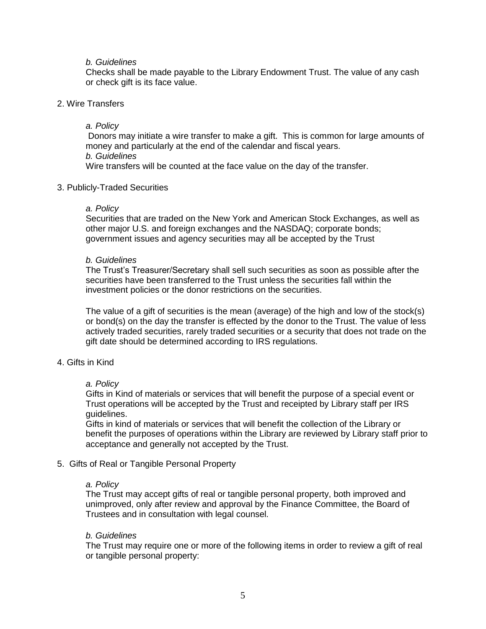#### *b. Guidelines*

Checks shall be made payable to the Library Endowment Trust. The value of any cash or check gift is its face value.

#### 2. Wire Transfers

#### *a. Policy*

Donors may initiate a wire transfer to make a gift. This is common for large amounts of money and particularly at the end of the calendar and fiscal years. *b. Guidelines* Wire transfers will be counted at the face value on the day of the transfer.

#### 3. Publicly-Traded Securities

#### *a. Policy*

Securities that are traded on the New York and American Stock Exchanges, as well as other major U.S. and foreign exchanges and the NASDAQ; corporate bonds; government issues and agency securities may all be accepted by the Trust

#### *b. Guidelines*

The Trust's Treasurer/Secretary shall sell such securities as soon as possible after the securities have been transferred to the Trust unless the securities fall within the investment policies or the donor restrictions on the securities.

The value of a gift of securities is the mean (average) of the high and low of the stock(s) or bond(s) on the day the transfer is effected by the donor to the Trust. The value of less actively traded securities, rarely traded securities or a security that does not trade on the gift date should be determined according to IRS regulations.

### 4. Gifts in Kind

#### *a. Policy*

Gifts in Kind of materials or services that will benefit the purpose of a special event or Trust operations will be accepted by the Trust and receipted by Library staff per IRS guidelines.

Gifts in kind of materials or services that will benefit the collection of the Library or benefit the purposes of operations within the Library are reviewed by Library staff prior to acceptance and generally not accepted by the Trust.

#### 5. Gifts of Real or Tangible Personal Property

#### *a. Policy*

The Trust may accept gifts of real or tangible personal property, both improved and unimproved, only after review and approval by the Finance Committee, the Board of Trustees and in consultation with legal counsel.

#### *b. Guidelines*

The Trust may require one or more of the following items in order to review a gift of real or tangible personal property: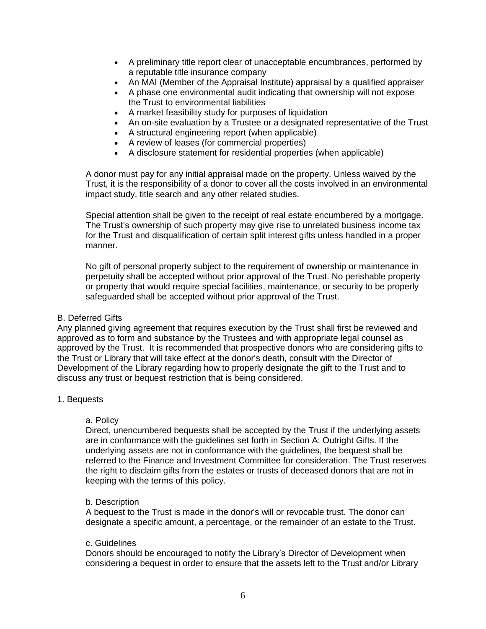- A preliminary title report clear of unacceptable encumbrances, performed by a reputable title insurance company
- An MAI (Member of the Appraisal Institute) appraisal by a qualified appraiser
- A phase one environmental audit indicating that ownership will not expose the Trust to environmental liabilities
- A market feasibility study for purposes of liquidation
- An on-site evaluation by a Trustee or a designated representative of the Trust
- A structural engineering report (when applicable)
- A review of leases (for commercial properties)
- A disclosure statement for residential properties (when applicable)

A donor must pay for any initial appraisal made on the property. Unless waived by the Trust, it is the responsibility of a donor to cover all the costs involved in an environmental impact study, title search and any other related studies.

Special attention shall be given to the receipt of real estate encumbered by a mortgage. The Trust's ownership of such property may give rise to unrelated business income tax for the Trust and disqualification of certain split interest gifts unless handled in a proper manner.

No gift of personal property subject to the requirement of ownership or maintenance in perpetuity shall be accepted without prior approval of the Trust. No perishable property or property that would require special facilities, maintenance, or security to be properly safeguarded shall be accepted without prior approval of the Trust.

### B. Deferred Gifts

Any planned giving agreement that requires execution by the Trust shall first be reviewed and approved as to form and substance by the Trustees and with appropriate legal counsel as approved by the Trust. It is recommended that prospective donors who are considering gifts to the Trust or Library that will take effect at the donor's death, consult with the Director of Development of the Library regarding how to properly designate the gift to the Trust and to discuss any trust or bequest restriction that is being considered.

#### 1. Bequests

#### a. Policy

Direct, unencumbered bequests shall be accepted by the Trust if the underlying assets are in conformance with the guidelines set forth in Section A: Outright Gifts. If the underlying assets are not in conformance with the guidelines, the bequest shall be referred to the Finance and Investment Committee for consideration. The Trust reserves the right to disclaim gifts from the estates or trusts of deceased donors that are not in keeping with the terms of this policy.

#### b. Description

A bequest to the Trust is made in the donor's will or revocable trust. The donor can designate a specific amount, a percentage, or the remainder of an estate to the Trust.

#### c. Guidelines

Donors should be encouraged to notify the Library's Director of Development when considering a bequest in order to ensure that the assets left to the Trust and/or Library